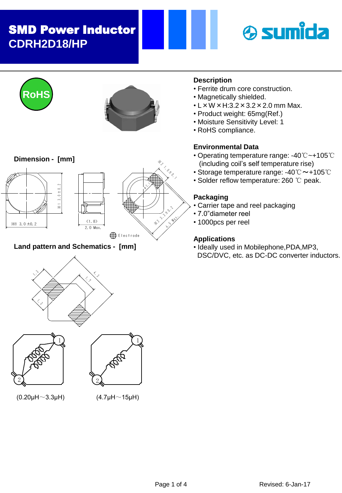# SMD Power Inductor **CDRH2D18/HP**







**Dimension - [mm]**







# **Land pattern and Schematics - [mm]**







 $(0.20 \mu H \sim 3.3 \mu H)$  (4.7 $\mu H \sim 15 \mu H$ )

# **Description**

- Ferrite drum core construction.
- Magnetically shielded.
- $\cdot$  L  $\times$  W  $\times$  H:3.2  $\times$  3.2  $\times$  2.0 mm Max.
- Product weight: 65mg(Ref.)
- Moisture Sensitivity Level: 1
- RoHS compliance.

## **Environmental Data**

- Operating temperature range: -40℃~+105℃ (including coil's self temperature rise)
- Storage temperature range: -40℃~+105℃
- Solder reflow temperature: 260 ℃ peak.

## **Packaging**

- Carrier tape and reel packaging
- 7.0"diameter reel
- 1000pcs per reel

## **Applications**

• Ideally used in Mobilephone,PDA,MP3, DSC/DVC, etc. as DC-DC converter inductors.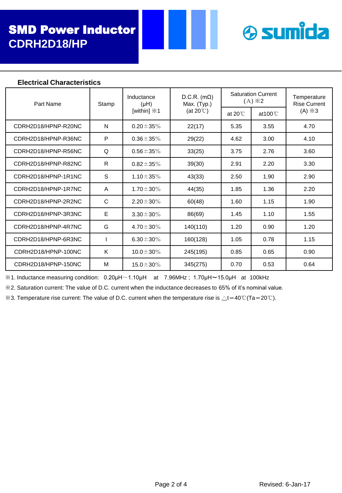

#### **Electrical Characteristics**

| Part Name           | Stamp | Inductance<br>$(H\cup$<br>[within] $\divideontimes$ 1 | $D.C.R.$ (m $\Omega$ )<br>Max. (Typ.)<br>(at $20^{\circ}$ C) | <b>Saturation Current</b><br>$(A) \times 2$ |                    | Temperature<br><b>Rise Current</b> |
|---------------------|-------|-------------------------------------------------------|--------------------------------------------------------------|---------------------------------------------|--------------------|------------------------------------|
|                     |       |                                                       |                                                              | at $20^{\circ}$                             | at $100^{\circ}$ C | $(A) \times 3$                     |
| CDRH2D18/HPNP-R20NC | N     | $0.20 \pm 35\%$                                       | 22(17)                                                       | 5.35                                        | 3.55               | 4.70                               |
| CDRH2D18/HPNP-R36NC | P     | $0.36 \pm 35\%$                                       | 29(22)                                                       | 4.62                                        | 3.00               | 4.10                               |
| CDRH2D18/HPNP-R56NC | Q     | $0.56 \pm 35\%$                                       | 33(25)                                                       | 3.75                                        | 2.76               | 3.60                               |
| CDRH2D18/HPNP-R82NC | R     | $0.82 \pm 35\%$                                       | 39(30)                                                       | 2.91                                        | 2.20               | 3.30                               |
| CDRH2D18/HPNP-1R1NC | S     | 1.10 $\pm$ 35%                                        | 43(33)                                                       | 2.50                                        | 1.90               | 2.90                               |
| CDRH2D18/HPNP-1R7NC | A     | $1.70 \pm 30\%$                                       | 44(35)                                                       | 1.85                                        | 1.36               | 2.20                               |
| CDRH2D18/HPNP-2R2NC | C     | $2.20 \pm 30\%$                                       | 60(48)                                                       | 1.60                                        | 1.15               | 1.90                               |
| CDRH2D18/HPNP-3R3NC | E     | $3.30 \pm 30\%$                                       | 86(69)                                                       | 1.45                                        | 1.10               | 1.55                               |
| CDRH2D18/HPNP-4R7NC | G     | 4.70 $\pm$ 30%                                        | 140(110)                                                     | 1.20                                        | 0.90               | 1.20                               |
| CDRH2D18/HPNP-6R3NC |       | 6.30 $\pm$ 30%                                        | 160(128)                                                     | 1.05                                        | 0.78               | 1.15                               |
| CDRH2D18/HPNP-100NC | K     | $10.0 \pm 30\%$                                       | 245(195)                                                     | 0.85                                        | 0.65               | 0.90                               |
| CDRH2D18/HPNP-150NC | м     | $15.0 \pm 30\%$                                       | 345(275)                                                     | 0.70                                        | 0.53               | 0.64                               |

 $\%$ 1. Inductance measuring condition: 0.20 $\mu$ H $\sim$ 1.10 $\mu$ H at 7.96MHz; 1.70 $\mu$ H $\sim$ 15.0 $\mu$ H at 100kHz

※2. Saturation current: The value of D.C. current when the inductance decreases to 65% of it's nominal value.

 $\&$ 3. Temperature rise current: The value of D.C. current when the temperature rise is ∆t=40℃(Ta=20℃).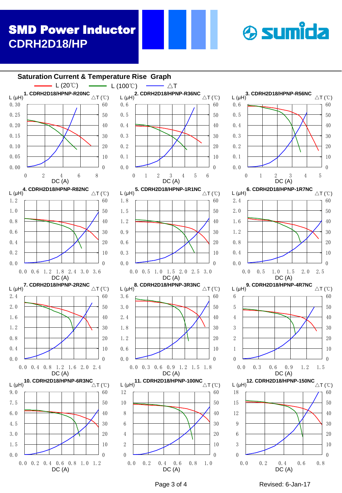# SMD Power Inductor **CDRH2D18/HP**





 $\triangle T$  (°C)

 $\triangle T$  (°C)

 $\triangle T$  (°C)